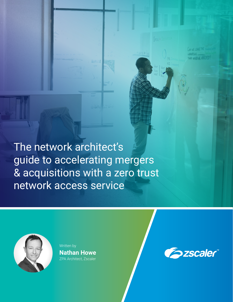The network architect's guide to accelerating mergers & acquisitions with a zero trust network access service



Written by **Nathan Howe** ZPA Architect, Zscaler



a waa wa B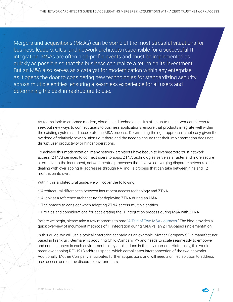Mergers and acquisitions (M&As) can be some of the most stressful situations for business leaders, CIOs, and network architects responsible for a successful IT integration. M&As are often high-profile events and must be implemented as quickly as possible so that the business can realize a return on its investment. But an M&A also serves as a catalyst for modernization within any enterprise as it opens the door to considering new technologies for standardizing security across multiple entities, ensuring a seamless experience for all users and determining the best infrastructure to use.

> As teams look to embrace modern, cloud-based technologies, it's often up to the network architects to seek out new ways to connect users to business applications, ensure that products integrate well within the existing system, and accelerate the M&A process. Determining the right approach is not easy given the overload of relatively new solutions out there and the need to ensure that their implementation does not disrupt user productivity or hinder operations.

To achieve this modernization, many network architects have begun to leverage zero trust network access (ZTNA) services to connect users to apps. ZTNA technologies serve as a faster and more secure alternative to the incumbent, network-centric processes that involve converging disparate networks and dealing with overlapping IP addresses through NATing—a process that can take between nine and 12 months on its own.

Within this architectural guide, we will cover the following:

- Architectural differences between incumbent access technology and ZTNA
- A look at a reference architecture for deploying ZTNA during an M&A
- The phases to consider when adopting ZTNA across multiple entities
- Pro-tips and considerations for accelerating the IT integration process during M&A with ZTNA

Before we begin, please take a few moments to read ["A Tale of Two M&A Journeys.](https://www.zscaler.com/blogs/corporate/tale-two-ma-journeys)" The blog provides a quick overview of incumbent methods of IT integration during M&A vs. an ZTNA-based implementation.

In this guide, we will use a typical enterprise scenario as an example. Mother Company SE, a manufacturer based in Frankfurt, Germany, is acquiring Child Company PA and needs to scale seamlessly to empower and connect users in each environment to key applications in the environment. Historically, this would mean overlapping RFC1918 address space, which complicates interconnection of the two networks. Additionally, Mother Company anticipates further acquisitions and will need a unified solution to address user access across the disparate environments.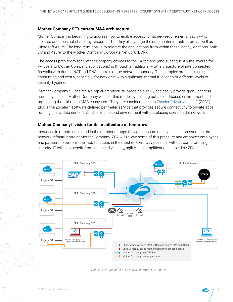# **Mother Company SE's current M&A architecture**

Mother Company is beginning to address how to enable access for its new requirements. Each PA is isolated and does not share any resources, but they all leverage the data center infrastructure as well as Microsoft Azure. The long-term goal is to migrate the applications from within these legacy locations, both DC and Azure, to the Mother Company Corporate Network (BCN).

The access path today for Mother Company devices to the PA regions (and subsequently the inverse for PA users to Mother Company applications) is through a traditional M&A architecture of interconnected firewalls with double NAT and DNS controls at the network boundary. This complex process is timeconsuming and costly, especially for networks with significant internal IP overlap or different levels of security hygiene.

 Mother Company SE desires a simpler architectural model to quickly and easily provide granular crosscompany access. Mother Company will test this model by building out a cloud-based environment and pretending that this is an M&A ecosystem. They are considering using [Zscaler Private Access™](https://www.zscaler.com/products/zscaler-private-access) (ZPA™). ZPA is the Zscaler™ software-defined perimeter service that provides secure connectivity to private apps running in any data center, hybrid, or multi-cloud environment without placing users on the network.

## **Mother Company's vision for its architecture of tomorrow**

Increases in remote users and in the number of apps they are consuming have placed pressure on the network infrastructure at Mother Company. ZPA will relieve some of this pressure and empower employees and partners to perform their job functions in the most efficient way possible, without compromising security. IT will also benefit from increased visibility, agility, and simplification enabled by ZPA.



*High-level proposal for M&A access at Mother Company*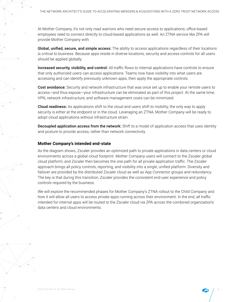At Mother Company, it's not only road warriors who need secure access to applications; office-based employees need to connect directly to cloud-based applications as well. An ZTNA service like ZPA will provide Mother Company with:

Global, unified, secure, and simple access: The ability to access applications regardless of their locations is critical to business. Because apps reside in diverse locations, security and access controls for all users should be applied globally.

Increased security, visibility, and control: All traffic flows to internal applications have controls to ensure that only authorized users can access applications. Teams now have visibility into what users are accessing and can identify previously unknown apps, then apply the appropriate controls.

**Cost avoidance:** Security and network infrastructure that was once set up to enable your remote users to access—and thus expose—your infrastructure can be eliminated as part of this project. At the same time, VPN, network infrastructure, and software management costs can be minimized.

Cloud readiness: As applications shift to the cloud and users shift to mobility, the only way to apply security is either at the endpoint or in the cloud. Leveraging an ZTNA, Mother Company will be ready to adopt cloud applications without infrastructure strain.

Decoupled application access from the network: Shift to a model of application access that uses identity and posture to provide access, rather than network connectivity.

## **Mother Company's intended end-state**

As the diagram shows, Zscaler provides an optimized path to private applications in data centers or cloud environments across a global cloud footprint. Mother Company users will connect to the Zscaler global cloud platform, and Zscaler then becomes the one path for all private application traffic. The Zscaler approach brings all policy controls, reporting, and visibility into a single, unified platform. Diversity and failover are provided by the distributed Zscaler cloud as well as App Connector groups and redundancy. The key is that during this transition, Zscaler provides the consistent end-user experience and policy controls required by the business.

We will explore the recommended phases for Mother Company's ZTNA rollout to the Child Company and how it will allow all users to access private apps running across their environment. In the end, all traffic intended for internal apps will be routed to the Zscaler cloud via ZPA across the combined organization's data centers and cloud environments.

©2019 Zscaler, Inc. All rights reserved.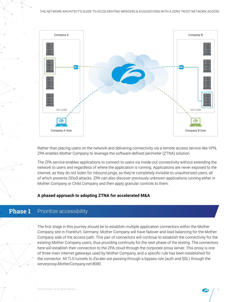

Rather than placing users on the network and delivering connectivity via a remote access service like VPN, ZPA enables Mother Company to leverage the software-defined perimeter (ZTNA) solution.

The ZPA service enables applications to connect to users via inside-out connectivity without extending the network to users and regardless of where the application is running. Applications are never exposed to the internet, as they do not listen for inbound pings, so they're completely invisible to unauthorized users, all of which prevents DDoS attacks. ZPA can also discover previously unknown applications running either in Mother Company or Child Company and then apply granular controls to them.

## **A phased approach to adopting ZTNA for accelerated M&A**

### **Phase 1** Prioritize accessibility

The first stage in this journey should be to establish multiple application connectors within the Mother Company site in Frankfurt, Germany. Mother Company will have failover and load balancing for the Mother Company side of the access path. This pair of connectors will continue to establish the connectivity for the existing Mother Company users, thus providing continuity for the next phase of the testing. The connectors here will establish their connection to the ZPA cloud through the corporate proxy server. This proxy is one of three main internet gateways used by Mother Company, and a specific rule has been established for the connector. All TLS tunnels to Zscaler are passing through a bypass rule (auth and SSL) through the *serverproxy.MotherCompany.net:8080.*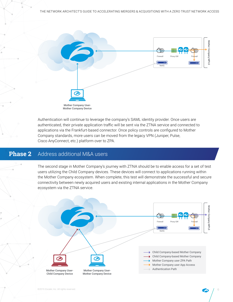

Authentication will continue to leverage the company's SAML identity provider. Once users are authenticated, their private application traffic will be sent via the ZTNA service and connected to applications via the Frankfurt-based connector. Once policy controls are configured to Mother Company standards, more users can be moved from the legacy VPN (Juniper, Pulse, Cisco AnyConnect, etc.) platform over to ZPA.

### **Phase 2** Address additional M&A users

The second stage in Mother Company's journey with ZTNA should be to enable access for a set of test users utilizing the Child Company devices. These devices will connect to applications running within the Mother Company ecosystem. When complete, this test will demonstrate the successful and secure connectivity between newly acquired users and existing internal applications in the Mother Company ecosystem via the ZTNA service.

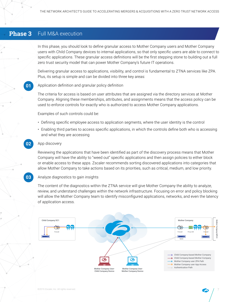# **Phase 3** Full M&A execution

**01**

**02**

In this phase, you should look to define granular access to Mother Company users and Mother Company users with Child Company devices to internal applications, so that only specific users are able to connect to specific applications. These granular access definitions will be the first stepping stone to building out a full zero trust security model that can power Mother Company's future IT operations.

Delivering granular access to applications, visibility, and control is fundamental to ZTNA services like ZPA. Plus, its setup is simple and can be divided into three key areas:

### Application definition and granular policy definition

The criteria for access is based on user attributes that are assigned via the directory services at Mother Company. Aligning these memberships, attributes, and assignments means that the access policy can be used to enforce controls for exactly who is authorized to access Mother Company applications.

Examples of such controls could be:

- Defining specific employee access to application segments, where the user identity is the control
- Enabling third parties to access specific applications, in which the controls define both who is accessing and what they are accessing

### App discovery

Reviewing the applications that have been identified as part of the discovery process means that Mother Company will have the ability to "weed out" specific applications and then assign policies to either block or enable access to these apps. Zscaler recommends sorting discovered applications into categories that allow Mother Company to take actions based on its priorities, such as critical, medium, and low priority.

#### **03** Analyze diagnostics to gain insights

The content of the diagnostics within the ZTNA service will give Mother Company the ability to analyze, review, and understand challenges within the network infrastructure. Focusing on error and policy blocking will allow the Mother Company team to identify misconfigured applications, networks, and even the latency of application access.